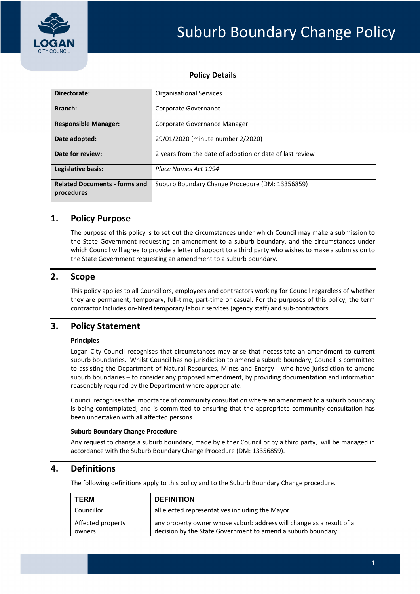

## **Policy Details**

| Directorate:                                       | <b>Organisational Services</b>                           |  |  |
|----------------------------------------------------|----------------------------------------------------------|--|--|
| Branch:                                            | Corporate Governance                                     |  |  |
| <b>Responsible Manager:</b>                        | Corporate Governance Manager                             |  |  |
| Date adopted:                                      | 29/01/2020 (minute number 2/2020)                        |  |  |
| Date for review:                                   | 2 years from the date of adoption or date of last review |  |  |
| Legislative basis:                                 | Place Names Act 1994                                     |  |  |
| <b>Related Documents - forms and</b><br>procedures | Suburb Boundary Change Procedure (DM: 13356859)          |  |  |

### **1. Policy Purpose**

The purpose of this policy is to set out the circumstances under which Council may make a submission to the State Government requesting an amendment to a suburb boundary, and the circumstances under which Council will agree to provide a letter of support to a third party who wishes to make a submission to the State Government requesting an amendment to a suburb boundary.

# **2. Scope**

This policy applies to all Councillors, employees and contractors working for Council regardless of whether they are permanent, temporary, full‐time, part‐time or casual. For the purposes of this policy, the term contractor includes on‐hired temporary labour services (agency staff) and sub‐contractors.

# **3. Policy Statement**

#### **Principles**

Logan City Council recognises that circumstances may arise that necessitate an amendment to current suburb boundaries. Whilst Council has no jurisdiction to amend a suburb boundary, Council is committed to assisting the Department of Natural Resources, Mines and Energy - who have jurisdiction to amend suburb boundaries – to consider any proposed amendment, by providing documentation and information reasonably required by the Department where appropriate.

Council recognises the importance of community consultation where an amendment to a suburb boundary is being contemplated, and is committed to ensuring that the appropriate community consultation has been undertaken with all affected persons.

#### **Suburb Boundary Change Procedure**

Any request to change a suburb boundary, made by either Council or by a third party, will be managed in accordance with the Suburb Boundary Change Procedure (DM: 13356859).

### **4. Definitions**

The following definitions apply to this policy and to the Suburb Boundary Change procedure.

| <b>TERM</b>                 | <b>DEFINITION</b>                                                                                                                   |
|-----------------------------|-------------------------------------------------------------------------------------------------------------------------------------|
| <b>Councillor</b>           | all elected representatives including the Mayor                                                                                     |
| Affected property<br>owners | any property owner whose suburb address will change as a result of a<br>decision by the State Government to amend a suburb boundary |